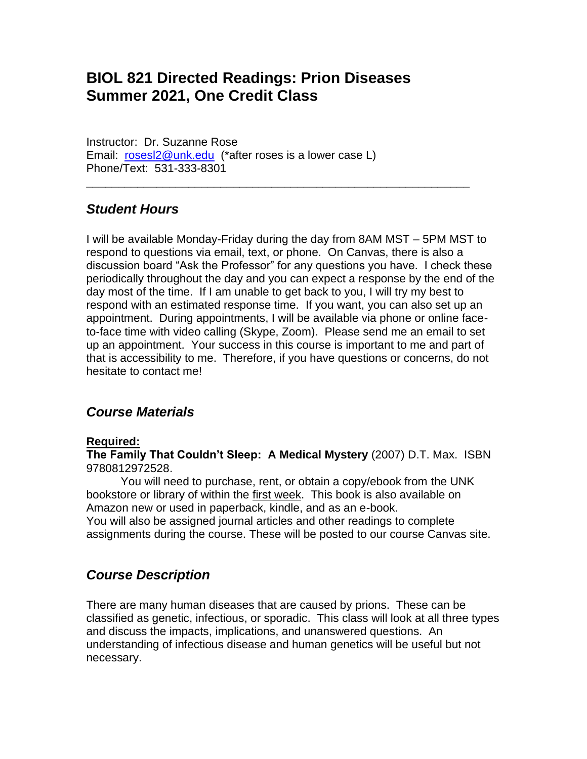# **BIOL 821 Directed Readings: Prion Diseases Summer 2021, One Credit Class**

Instructor: Dr. Suzanne Rose Email: [rosesl2@unk.edu](mailto:rosesl2@unk.edu) (\*after roses is a lower case L) Phone/Text: 531-333-8301

### *Student Hours*

I will be available Monday-Friday during the day from 8AM MST – 5PM MST to respond to questions via email, text, or phone. On Canvas, there is also a discussion board "Ask the Professor" for any questions you have. I check these periodically throughout the day and you can expect a response by the end of the day most of the time. If I am unable to get back to you, I will try my best to respond with an estimated response time. If you want, you can also set up an appointment. During appointments, I will be available via phone or online faceto-face time with video calling (Skype, Zoom). Please send me an email to set up an appointment. Your success in this course is important to me and part of that is accessibility to me. Therefore, if you have questions or concerns, do not hesitate to contact me!

\_\_\_\_\_\_\_\_\_\_\_\_\_\_\_\_\_\_\_\_\_\_\_\_\_\_\_\_\_\_\_\_\_\_\_\_\_\_\_\_\_\_\_\_\_\_\_\_\_\_\_\_\_\_\_\_\_\_\_\_

### *Course Materials*

#### **Required:**

**The Family That Couldn't Sleep: A Medical Mystery** (2007) D.T. Max. ISBN 9780812972528.

You will need to purchase, rent, or obtain a copy/ebook from the UNK bookstore or library of within the first week. This book is also available on Amazon new or used in paperback, kindle, and as an e-book.

You will also be assigned journal articles and other readings to complete assignments during the course. These will be posted to our course Canvas site.

### *Course Description*

There are many human diseases that are caused by prions. These can be classified as genetic, infectious, or sporadic. This class will look at all three types and discuss the impacts, implications, and unanswered questions. An understanding of infectious disease and human genetics will be useful but not necessary.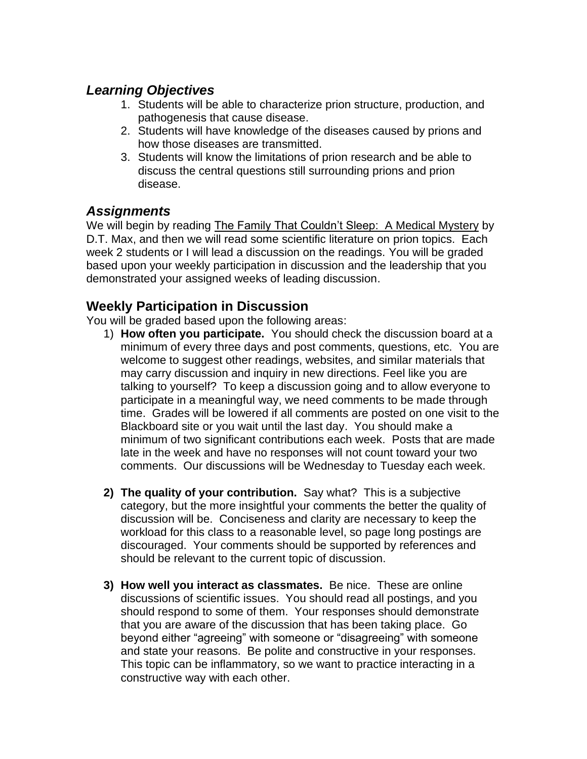## *Learning Objectives*

- 1. Students will be able to characterize prion structure, production, and pathogenesis that cause disease.
- 2. Students will have knowledge of the diseases caused by prions and how those diseases are transmitted.
- 3. Students will know the limitations of prion research and be able to discuss the central questions still surrounding prions and prion disease.

### *Assignments*

We will begin by reading The Family That Couldn't Sleep: A Medical Mystery by D.T. Max, and then we will read some scientific literature on prion topics. Each week 2 students or I will lead a discussion on the readings. You will be graded based upon your weekly participation in discussion and the leadership that you demonstrated your assigned weeks of leading discussion.

### **Weekly Participation in Discussion**

You will be graded based upon the following areas:

- 1) **How often you participate.** You should check the discussion board at a minimum of every three days and post comments, questions, etc. You are welcome to suggest other readings, websites, and similar materials that may carry discussion and inquiry in new directions. Feel like you are talking to yourself? To keep a discussion going and to allow everyone to participate in a meaningful way, we need comments to be made through time. Grades will be lowered if all comments are posted on one visit to the Blackboard site or you wait until the last day. You should make a minimum of two significant contributions each week. Posts that are made late in the week and have no responses will not count toward your two comments. Our discussions will be Wednesday to Tuesday each week.
- **2) The quality of your contribution.** Say what? This is a subjective category, but the more insightful your comments the better the quality of discussion will be. Conciseness and clarity are necessary to keep the workload for this class to a reasonable level, so page long postings are discouraged. Your comments should be supported by references and should be relevant to the current topic of discussion.
- **3) How well you interact as classmates.** Be nice. These are online discussions of scientific issues. You should read all postings, and you should respond to some of them. Your responses should demonstrate that you are aware of the discussion that has been taking place. Go beyond either "agreeing" with someone or "disagreeing" with someone and state your reasons. Be polite and constructive in your responses. This topic can be inflammatory, so we want to practice interacting in a constructive way with each other.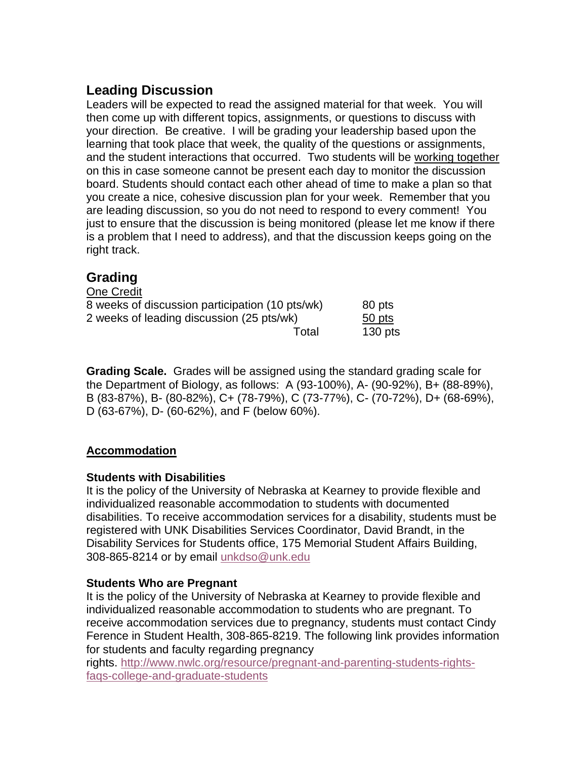## **Leading Discussion**

Leaders will be expected to read the assigned material for that week. You will then come up with different topics, assignments, or questions to discuss with your direction. Be creative. I will be grading your leadership based upon the learning that took place that week, the quality of the questions or assignments, and the student interactions that occurred. Two students will be working together on this in case someone cannot be present each day to monitor the discussion board. Students should contact each other ahead of time to make a plan so that you create a nice, cohesive discussion plan for your week. Remember that you are leading discussion, so you do not need to respond to every comment! You just to ensure that the discussion is being monitored (please let me know if there is a problem that I need to address), and that the discussion keeps going on the right track.

## **Grading**

| One Credit                                      |           |
|-------------------------------------------------|-----------|
| 8 weeks of discussion participation (10 pts/wk) | 80 pts    |
| 2 weeks of leading discussion (25 pts/wk)       | 50 pts    |
| Total                                           | $130$ pts |

**Grading Scale.** Grades will be assigned using the standard grading scale for the Department of Biology, as follows: A (93-100%), A- (90-92%), B+ (88-89%), B (83-87%), B- (80-82%), C+ (78-79%), C (73-77%), C- (70-72%), D+ (68-69%), D (63-67%), D- (60-62%), and F (below 60%).

### **Accommodation**

### **Students with Disabilities**

It is the policy of the University of Nebraska at Kearney to provide flexible and individualized reasonable accommodation to students with documented disabilities. To receive accommodation services for a disability, students must be registered with UNK Disabilities Services Coordinator, David Brandt, in the Disability Services for Students office, 175 Memorial Student Affairs Building, 308-865-8214 or by email [unkdso@unk.edu](mailto:unkdso@unk.edu)

### **Students Who are Pregnant**

It is the policy of the University of Nebraska at Kearney to provide flexible and individualized reasonable accommodation to students who are pregnant. To receive accommodation services due to pregnancy, students must contact Cindy Ference in Student Health, 308-865-8219. The following link provides information for students and faculty regarding pregnancy

rights. [http://www.nwlc.org/resource/pregnant-and-parenting-students-rights](https://urldefense.proofpoint.com/v2/url?u=http-3A__www.nwlc.org_resource_pregnant-2Dand-2Dparenting-2Dstudents-2Drights-2Dfaqs-2Dcollege-2Dand-2Dgraduate-2Dstudents&d=DwMFAg&c=Cu5g146wZdoqVuKpTNsYHeFX_rg6kWhlkLF8Eft-wwo&r=BJkIhAaMtWY7PlqIhIOyVw&m=RgBL3s2VNHfvD5ReMK2q_PhwYU8dbEt1vxs1BO4WkpQ&s=MmB91XAzaW-E7UPMXPGx9tWJQbTWJYyYzM8gLjhEzQ0&e=)[faqs-college-and-graduate-students](https://urldefense.proofpoint.com/v2/url?u=http-3A__www.nwlc.org_resource_pregnant-2Dand-2Dparenting-2Dstudents-2Drights-2Dfaqs-2Dcollege-2Dand-2Dgraduate-2Dstudents&d=DwMFAg&c=Cu5g146wZdoqVuKpTNsYHeFX_rg6kWhlkLF8Eft-wwo&r=BJkIhAaMtWY7PlqIhIOyVw&m=RgBL3s2VNHfvD5ReMK2q_PhwYU8dbEt1vxs1BO4WkpQ&s=MmB91XAzaW-E7UPMXPGx9tWJQbTWJYyYzM8gLjhEzQ0&e=)